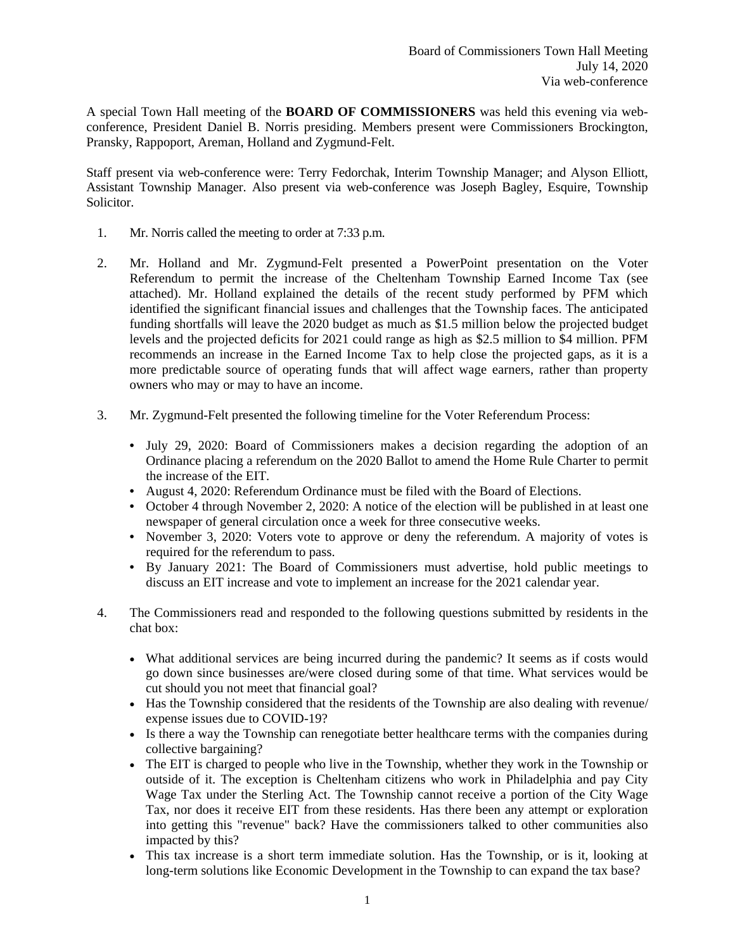A special Town Hall meeting of the **BOARD OF COMMISSIONERS** was held this evening via webconference, President Daniel B. Norris presiding. Members present were Commissioners Brockington, Pransky, Rappoport, Areman, Holland and Zygmund-Felt.

Staff present via web-conference were: Terry Fedorchak, Interim Township Manager; and Alyson Elliott, Assistant Township Manager. Also present via web-conference was Joseph Bagley, Esquire, Township Solicitor.

- 1. Mr. Norris called the meeting to order at 7:33 p.m.
- 2. Mr. Holland and Mr. Zygmund-Felt presented a PowerPoint presentation on the Voter Referendum to permit the increase of the Cheltenham Township Earned Income Tax (see attached). Mr. Holland explained the details of the recent study performed by PFM which identified the significant financial issues and challenges that the Township faces. The anticipated funding shortfalls will leave the 2020 budget as much as \$1.5 million below the projected budget levels and the projected deficits for 2021 could range as high as \$2.5 million to \$4 million. PFM recommends an increase in the Earned Income Tax to help close the projected gaps, as it is a more predictable source of operating funds that will affect wage earners, rather than property owners who may or may to have an income.
- 3. Mr. Zygmund-Felt presented the following timeline for the Voter Referendum Process:
	- July 29, 2020: Board of Commissioners makes a decision regarding the adoption of an Ordinance placing a referendum on the 2020 Ballot to amend the Home Rule Charter to permit the increase of the EIT.
	- August 4, 2020: Referendum Ordinance must be filed with the Board of Elections.
	- October 4 through November 2, 2020: A notice of the election will be published in at least one newspaper of general circulation once a week for three consecutive weeks.
	- November 3, 2020: Voters vote to approve or deny the referendum. A majority of votes is required for the referendum to pass.
	- By January 2021: The Board of Commissioners must advertise, hold public meetings to discuss an EIT increase and vote to implement an increase for the 2021 calendar year.
- 4. The Commissioners read and responded to the following questions submitted by residents in the chat box:
	- What additional services are being incurred during the pandemic? It seems as if costs would go down since businesses are/were closed during some of that time. What services would be cut should you not meet that financial goal?
	- Has the Township considered that the residents of the Township are also dealing with revenue/ expense issues due to COVID-19?
	- Is there a way the Township can renegotiate better healthcare terms with the companies during collective bargaining?
	- The EIT is charged to people who live in the Township, whether they work in the Township or outside of it. The exception is Cheltenham citizens who work in Philadelphia and pay City Wage Tax under the Sterling Act. The Township cannot receive a portion of the City Wage Tax, nor does it receive EIT from these residents. Has there been any attempt or exploration into getting this "revenue" back? Have the commissioners talked to other communities also impacted by this?
	- This tax increase is a short term immediate solution. Has the Township, or is it, looking at long-term solutions like Economic Development in the Township to can expand the tax base?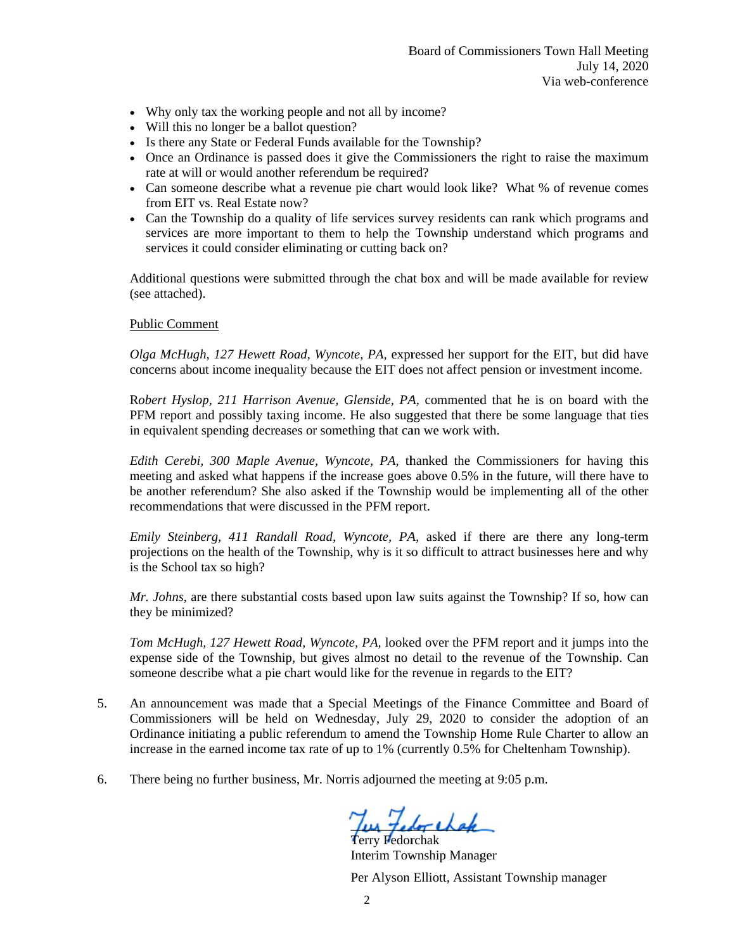- Why only tax the working people and not all by income?
- Will this no longer be a ballot question?
- Is there any State or Federal Funds available for the Township?
- Once an Ordinance is passed does it give the Commissioners the right to raise the maximum rate at will or would another referendum be required?
- Can someone describe what a revenue pie chart would look like? What % of revenue comes from EIT vs. Real Estate now?
- Can the Township do a quality of life services survey residents can rank which programs and services are more important to them to help the Township understand which programs and services it could consider eliminating or cutting back on?

Additional questions were submitted through the chat box and will be made available for review (see attached).

#### **Public Comment**

Olga McHugh, 127 Hewett Road, Wyncote, PA, expressed her support for the EIT, but did have concerns about income inequality because the EIT does not affect pension or investment income.

Robert Hyslop, 211 Harrison Avenue, Glenside, PA, commented that he is on board with the PFM report and possibly taxing income. He also suggested that there be some language that ties in equivalent spending decreases or something that can we work with.

Edith Cerebi, 300 Maple Avenue, Wyncote, PA, thanked the Commissioners for having this meeting and asked what happens if the increase goes above 0.5% in the future, will there have to be another referendum? She also asked if the Township would be implementing all of the other recommendations that were discussed in the PFM report.

Emily Steinberg, 411 Randall Road, Wyncote, PA, asked if there are there any long-term projections on the health of the Township, why is it so difficult to attract businesses here and why is the School tax so high?

Mr. Johns, are there substantial costs based upon law suits against the Township? If so, how can they be minimized?

Tom McHugh, 127 Hewett Road, Wyncote, PA, looked over the PFM report and it jumps into the expense side of the Township, but gives almost no detail to the revenue of the Township. Can someone describe what a pie chart would like for the revenue in regards to the EIT?

- $5<sub>1</sub>$ An announcement was made that a Special Meetings of the Finance Committee and Board of Commissioners will be held on Wednesday, July 29, 2020 to consider the adoption of an Ordinance initiating a public referendum to amend the Township Home Rule Charter to allow an increase in the earned income tax rate of up to 1% (currently 0.5% for Cheltenham Township).
- 6. There being no further business, Mr. Norris adjourned the meeting at 9:05 p.m.

Tus Feder chak

Interim Township Manager

Per Alyson Elliott, Assistant Township manager